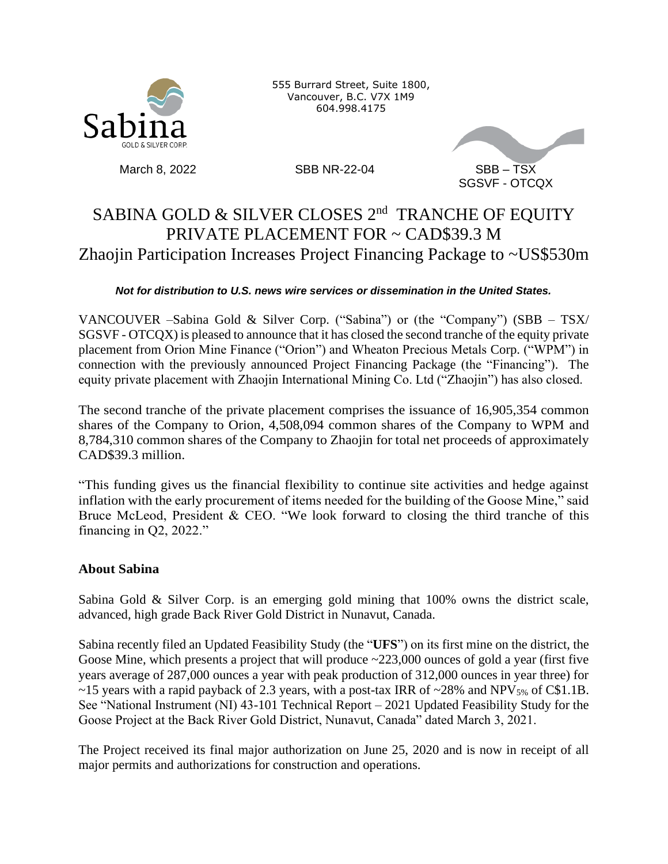

555 Burrard Street, Suite 1800, Vancouver, B.C. V7X 1M9 604.998.4175



## SABINA GOLD & SILVER CLOSES 2<sup>nd</sup> TRANCHE OF EQUITY PRIVATE PLACEMENT FOR ~ CAD\$39.3 M Zhaojin Participation Increases Project Financing Package to ~US\$530m

## *Not for distribution to U.S. news wire services or dissemination in the United States.*

VANCOUVER –Sabina Gold & Silver Corp. ("Sabina") or (the "Company") (SBB – TSX/ SGSVF - OTCQX) is pleased to announce that it has closed the second tranche of the equity private placement from Orion Mine Finance ("Orion") and Wheaton Precious Metals Corp. ("WPM") in connection with the previously announced Project Financing Package (the "Financing"). The equity private placement with Zhaojin International Mining Co. Ltd ("Zhaojin") has also closed.

The second tranche of the private placement comprises the issuance of 16,905,354 common shares of the Company to Orion, 4,508,094 common shares of the Company to WPM and 8,784,310 common shares of the Company to Zhaojin for total net proceeds of approximately CAD\$39.3 million.

"This funding gives us the financial flexibility to continue site activities and hedge against inflation with the early procurement of items needed for the building of the Goose Mine," said Bruce McLeod, President & CEO. "We look forward to closing the third tranche of this financing in Q2, 2022."

## **About Sabina**

Sabina Gold & Silver Corp. is an emerging gold mining that 100% owns the district scale, advanced, high grade Back River Gold District in Nunavut, Canada.

Sabina recently filed an Updated Feasibility Study (the "**UFS**") on its first mine on the district, the Goose Mine, which presents a project that will produce ~223,000 ounces of gold a year (first five years average of 287,000 ounces a year with peak production of 312,000 ounces in year three) for  $\sim$ 15 years with a rapid payback of 2.3 years, with a post-tax IRR of  $\sim$ 28% and NPV<sub>5%</sub> of C\$1.1B. See "National Instrument (NI) 43-101 Technical Report – 2021 Updated Feasibility Study for the Goose Project at the Back River Gold District, Nunavut, Canada" dated March 3, 2021.

The Project received its final major authorization on June 25, 2020 and is now in receipt of all major permits and authorizations for construction and operations.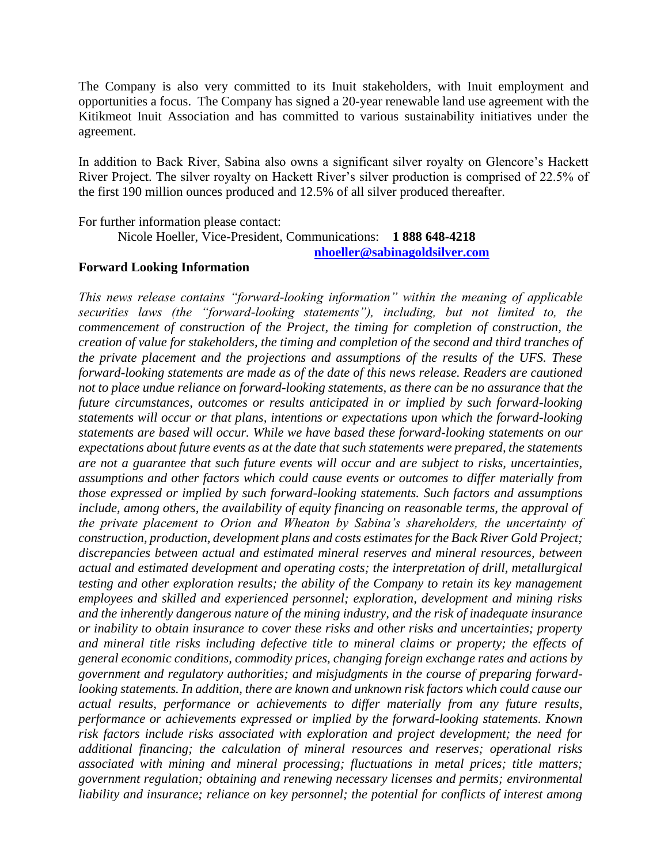The Company is also very committed to its Inuit stakeholders, with Inuit employment and opportunities a focus. The Company has signed a 20-year renewable land use agreement with the Kitikmeot Inuit Association and has committed to various sustainability initiatives under the agreement.

In addition to Back River, Sabina also owns a significant silver royalty on Glencore's Hackett River Project. The silver royalty on Hackett River's silver production is comprised of 22.5% of the first 190 million ounces produced and 12.5% of all silver produced thereafter.

For further information please contact:

Nicole Hoeller, Vice-President, Communications: **1 888 648-4218 [nhoeller@sabinagoldsilver.com](mailto:nhoeller@sabinagoldsilver.com)**

## **Forward Looking Information**

*This news release contains "forward-looking information" within the meaning of applicable securities laws (the "forward-looking statements"), including, but not limited to, the commencement of construction of the Project, the timing for completion of construction, the creation of value for stakeholders, the timing and completion of the second and third tranches of the private placement and the projections and assumptions of the results of the UFS. These forward-looking statements are made as of the date of this news release. Readers are cautioned not to place undue reliance on forward-looking statements, as there can be no assurance that the future circumstances, outcomes or results anticipated in or implied by such forward-looking statements will occur or that plans, intentions or expectations upon which the forward-looking statements are based will occur. While we have based these forward-looking statements on our expectations about future events as at the date that such statements were prepared, the statements are not a guarantee that such future events will occur and are subject to risks, uncertainties, assumptions and other factors which could cause events or outcomes to differ materially from those expressed or implied by such forward-looking statements. Such factors and assumptions*  include, among others, the availability of equity financing on reasonable terms, the approval of *the private placement to Orion and Wheaton by Sabina's shareholders, the uncertainty of construction, production, development plans and costs estimates for the Back River Gold Project; discrepancies between actual and estimated mineral reserves and mineral resources, between actual and estimated development and operating costs; the interpretation of drill, metallurgical testing and other exploration results; the ability of the Company to retain its key management employees and skilled and experienced personnel; exploration, development and mining risks and the inherently dangerous nature of the mining industry, and the risk of inadequate insurance or inability to obtain insurance to cover these risks and other risks and uncertainties; property and mineral title risks including defective title to mineral claims or property; the effects of general economic conditions, commodity prices, changing foreign exchange rates and actions by government and regulatory authorities; and misjudgments in the course of preparing forwardlooking statements. In addition, there are known and unknown risk factors which could cause our actual results, performance or achievements to differ materially from any future results, performance or achievements expressed or implied by the forward-looking statements. Known risk factors include risks associated with exploration and project development; the need for additional financing; the calculation of mineral resources and reserves; operational risks associated with mining and mineral processing; fluctuations in metal prices; title matters; government regulation; obtaining and renewing necessary licenses and permits; environmental liability and insurance; reliance on key personnel; the potential for conflicts of interest among*